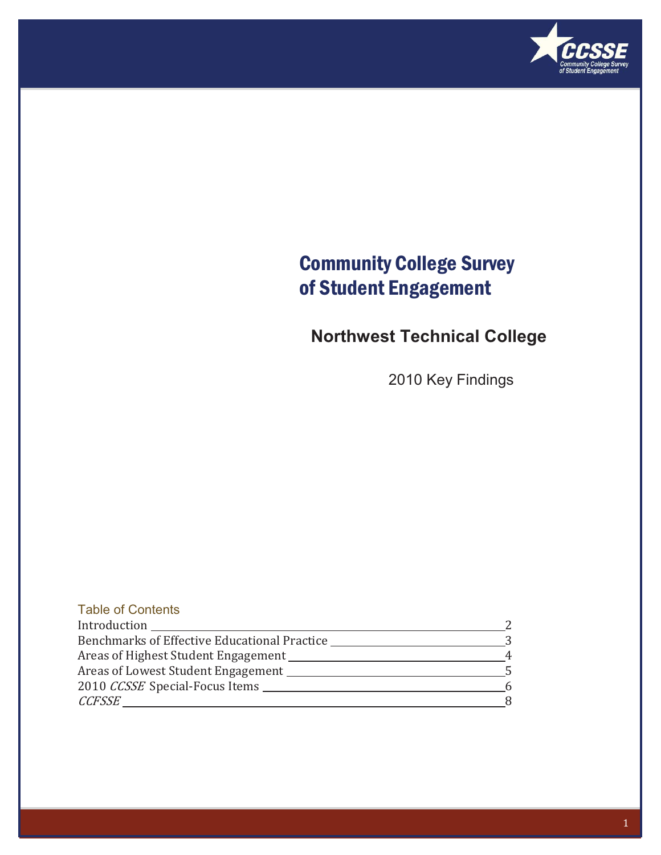

### Community College Survey of Student Engagement

### **Northwest Technical College**

2010 Key Findings

| <b>Table of Contents</b>                     |  |
|----------------------------------------------|--|
| Introduction                                 |  |
| Benchmarks of Effective Educational Practice |  |
| Areas of Highest Student Engagement          |  |
| Areas of Lowest Student Engagement           |  |
| 2010 CCSSE Special-Focus Items               |  |
| <i>CCFSSE</i>                                |  |
|                                              |  |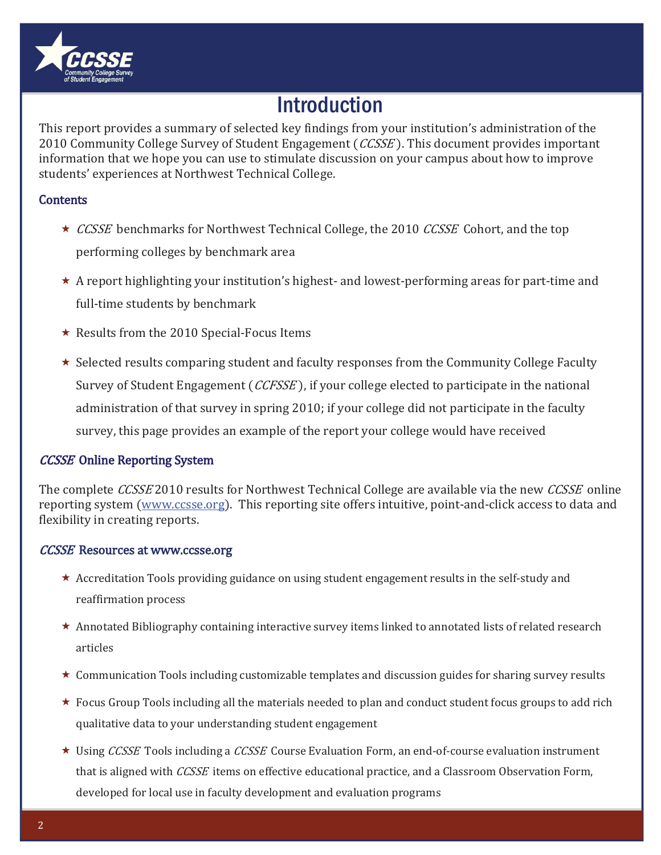

### **Introduction**

This report provides a summary of selected key findings from your institution's administration of the 2010 Community College Survey of Student Engagement (CCSSE). This document provides important information that we hope you can use to stimulate discussion on your campus about how to improve students' experiences at Northwest Technical College.

### **Contents**

- ★ CCSSE benchmarks for Northwest Technical College, the 2010 CCSSE Cohort, and the top performing colleges by benchmark area
- $\star$  A report highlighting your institution's highest- and lowest-performing areas for part-time and full-time students by benchmark
- $\star\,$  Results from the 2010 Special-Focus Items
- $\star\,$  Selected results comparing student and faculty responses from the Community College Faculty Survey of Student Engagement (CCFSSE), if your college elected to participate in the national administration of that survey in spring 2010; if your college did not participate in the faculty survey, this page provides an example of the report your college would have received

### **CCSSE** Online Reporting System

The complete *CCSSE* 2010 results for Northwest Technical College are available via the new *CCSSE* online reporting system (www.ccsse.org). This reporting site offers intuitive, point-and-click access to data and flexibility in creating reports.

### **CCSSE** Resources at www.ccsse.org

- \* Accreditation Tools providing guidance on using student engagement results in the self-study and reaffirmation process
- $\star$  Annotated Bibliography containing interactive survey items linked to annotated lists of related research articles
- $\star$  Communication Tools including customizable templates and discussion guides for sharing survey results
- ★ Focus Group Tools including all the materials needed to plan and conduct student focus groups to add rich qualitative data to your understanding student engagement
- $\star$  Using CCSSE Tools including a CCSSE Course Evaluation Form, an end-of-course evaluation instrument that is aligned with *CCSSE* items on effective educational practice, and a Classroom Observation Form, developed for local use in faculty development and evaluation programs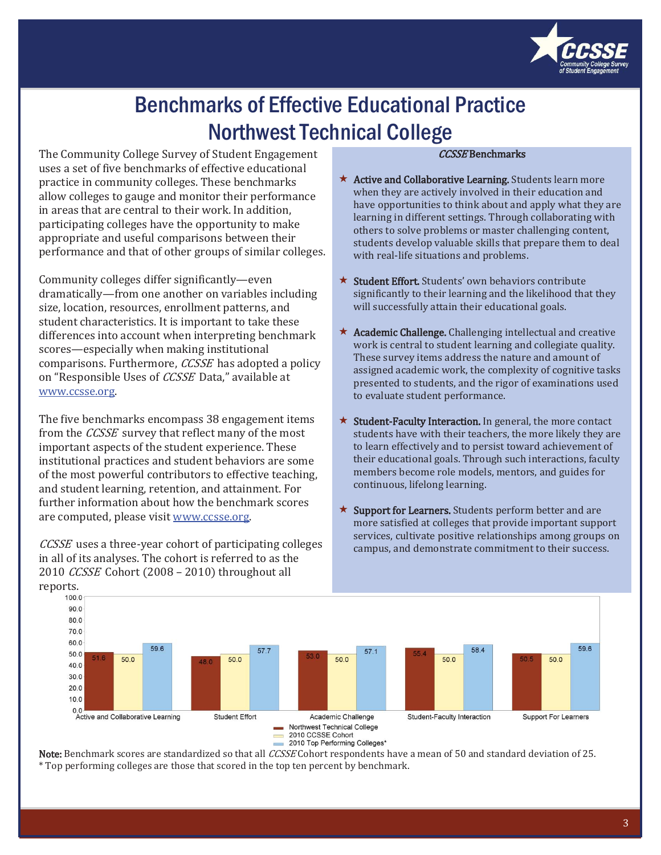

## Benchmarks of Effective Educational Practice Northwest Technical College

The Community College Survey of Student Engagement uses a set of five benchmarks of effective educational practice in community colleges. These benchmarks allow colleges to gauge and monitor their performance in areas that are central to their work. In addition, participating colleges have the opportunity to make appropriate and useful comparisons between their performance and that of other groups of similar colleges.

Community colleges differ significantly—even dramatically—from one another on variables including size, location, resources, enrollment patterns, and student characteristics. It is important to take these differences into account when interpreting benchmark scores—especially when making institutional comparisons. Furthermore, CCSSE has adopted a policy on "Responsible Uses of CCSSE Data," available at www.ccsse.org.

The five benchmarks encompass 38 engagement items from the CCSSE survey that reflect many of the most important aspects of the student experience. These institutional practices and student behaviors are some of the most powerful contributors to effective teaching, and student learning, retention, and attainment. For further information about how the benchmark scores are computed, please visit www.ccsse.org.

*CCSSE* uses a three-year cohort of participating colleges in all of its analyses. The cohort is referred to as the 2010 CCSSE Cohort (2008 - 2010) throughout all reports.

#### **CCSSE Benchmarks**

- \* Active and Collaborative Learning. Students learn more when they are actively involved in their education and have opportunities to think about and apply what they are learning in different settings. Through collaborating with others to solve problems or master challenging content, students develop valuable skills that prepare them to deal with real-life situations and problems.
- ★ Student Effort. Students' own behaviors contribute significantly to their learning and the likelihood that they will successfully attain their educational goals.
- \* Academic Challenge. Challenging intellectual and creative work is central to student learning and collegiate quality. These survey items address the nature and amount of assigned academic work, the complexity of cognitive tasks presented to students, and the rigor of examinations used to evaluate student performance.
- $\star$  Student-Faculty Interaction. In general, the more contact students have with their teachers, the more likely they are to learn effectively and to persist toward achievement of their educational goals. Through such interactions, faculty members become role models, mentors, and guides for continuous, lifelong learning.
- $\star$  Support for Learners. Students perform better and are more satisfied at colleges that provide important support services, cultivate positive relationships among groups on campus, and demonstrate commitment to their success.



Note: Benchmark scores are standardized so that all *CCSSE* Cohort respondents have a mean of 50 and standard deviation of 25. \* Top performing colleges are those that scored in the top ten percent by benchmark.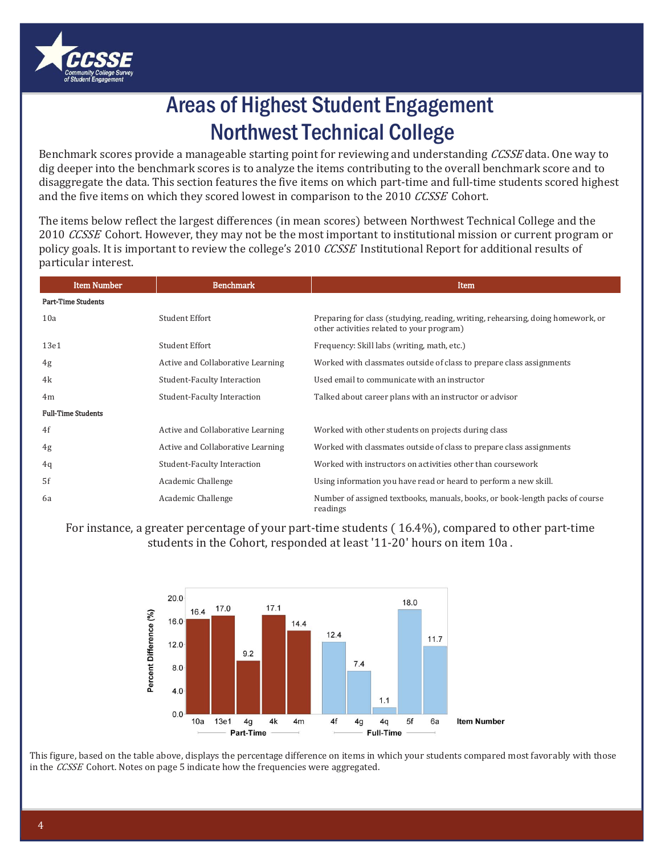

## Areas of Highest Student Engagement Northwest Technical College

Benchmark scores provide a manageable starting point for reviewing and understanding CCSSE data. One way to dig deeper into the benchmark scores is to analyze the items contributing to the overall benchmark score and to disaggregate the data. This section features the five items on which part-time and full-time students scored highest and the five items on which they scored lowest in comparison to the 2010 CCSSE Cohort.

The items below reflect the largest differences (in mean scores) between Northwest Technical College and the 2010 CCSSE Cohort. However, they may not be the most important to institutional mission or current program or policy goals. It is important to review the college's 2010 CCSSE Institutional Report for additional results of particular interest.

| <b>Item Number</b>        | <b>Benchmark</b>                   | Item                                                                                                                         |
|---------------------------|------------------------------------|------------------------------------------------------------------------------------------------------------------------------|
| <b>Part-Time Students</b> |                                    |                                                                                                                              |
| 10a                       | Student Effort                     | Preparing for class (studying, reading, writing, rehearsing, doing homework, or<br>other activities related to your program) |
| 13e1                      | Student Effort                     | Frequency: Skill labs (writing, math, etc.)                                                                                  |
| 4g                        | Active and Collaborative Learning  | Worked with classmates outside of class to prepare class assignments                                                         |
| 4k                        | <b>Student-Faculty Interaction</b> | Used email to communicate with an instructor                                                                                 |
| 4 <sub>m</sub>            | <b>Student-Faculty Interaction</b> | Talked about career plans with an instructor or advisor                                                                      |
| <b>Full-Time Students</b> |                                    |                                                                                                                              |
| 4f                        | Active and Collaborative Learning  | Worked with other students on projects during class                                                                          |
| 4g                        | Active and Collaborative Learning  | Worked with classmates outside of class to prepare class assignments                                                         |
| 4q                        | Student-Faculty Interaction        | Worked with instructors on activities other than coursework                                                                  |
| 5f                        | Academic Challenge                 | Using information you have read or heard to perform a new skill.                                                             |
| 6а                        | Academic Challenge                 | Number of assigned textbooks, manuals, books, or book-length packs of course<br>readings                                     |

For instance, a greater percentage of your part-time students (16.4%), compared to other part-time students in the Cohort, responded at least '11-20' hours on item 10a.



This figure, based on the table above, displays the percentage difference on items in which your students compared most favorably with those in the CCSSE Cohort. Notes on page 5 indicate how the frequencies were aggregated.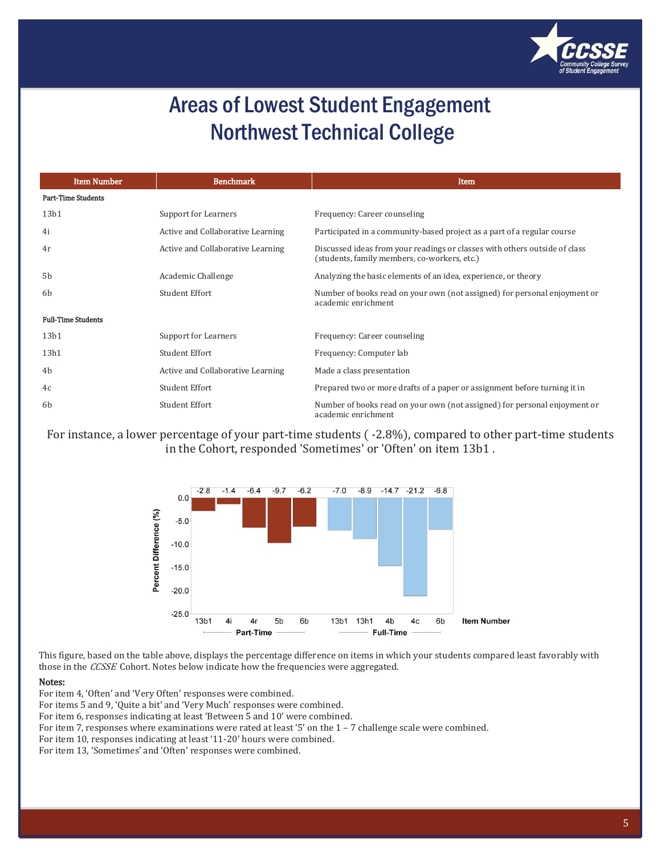

### Areas of Lowest Student Engagement Northwest Technical College

| <b>Item Number</b>        | <b>Benchmark</b>                  | Item                                                                                                                       |
|---------------------------|-----------------------------------|----------------------------------------------------------------------------------------------------------------------------|
| <b>Part-Time Students</b> |                                   |                                                                                                                            |
| 13 <sub>b1</sub>          | Support for Learners              | Frequency: Career counseling                                                                                               |
| 4i                        | Active and Collaborative Learning | Participated in a community-based project as a part of a regular course                                                    |
| 4r                        | Active and Collaborative Learning | Discussed ideas from your readings or classes with others outside of class<br>(students, family members, co-workers, etc.) |
| 5 <sub>b</sub>            | Academic Challenge                | Analyzing the basic elements of an idea, experience, or theory                                                             |
| 6 <sub>b</sub>            | <b>Student Effort</b>             | Number of books read on your own (not assigned) for personal enjoyment or<br>academic enrichment                           |
| <b>Full-Time Students</b> |                                   |                                                                                                                            |
| 13 <sub>b1</sub>          | Support for Learners              | Frequency: Career counseling                                                                                               |
| 13h1                      | <b>Student Effort</b>             | Frequency: Computer lab                                                                                                    |
| 4b                        | Active and Collaborative Learning | Made a class presentation                                                                                                  |
| 4c                        | Student Effort                    | Prepared two or more drafts of a paper or assignment before turning it in                                                  |
| 6 <sub>b</sub>            | Student Effort                    | Number of books read on your own (not assigned) for personal enjoyment or<br>academic enrichment                           |

For instance, a lower percentage of your part-time students (-2.8%), compared to other part-time students in the Cohort, responded 'Sometimes' or 'Often' on item 13b1.



This figure, based on the table above, displays the percentage difference on items in which your students compared least favorably with those in the *CCSSE* Cohort. Notes below indicate how the frequencies were aggregated.

#### Notes:

For item 4, 'Often' and 'Very Often' responses were combined.

For items 5 and 9, 'Quite a bit' and 'Very Much' responses were combined.

For item 6, responses indicating at least 'Between 5 and 10' were combined.

For item 7, responses where examinations were rated at least '5' on the 1 - 7 challenge scale were combined.

For item 10, responses indicating at least '11-20' hours were combined.

For item 13, 'Sometimes' and 'Often' responses were combined.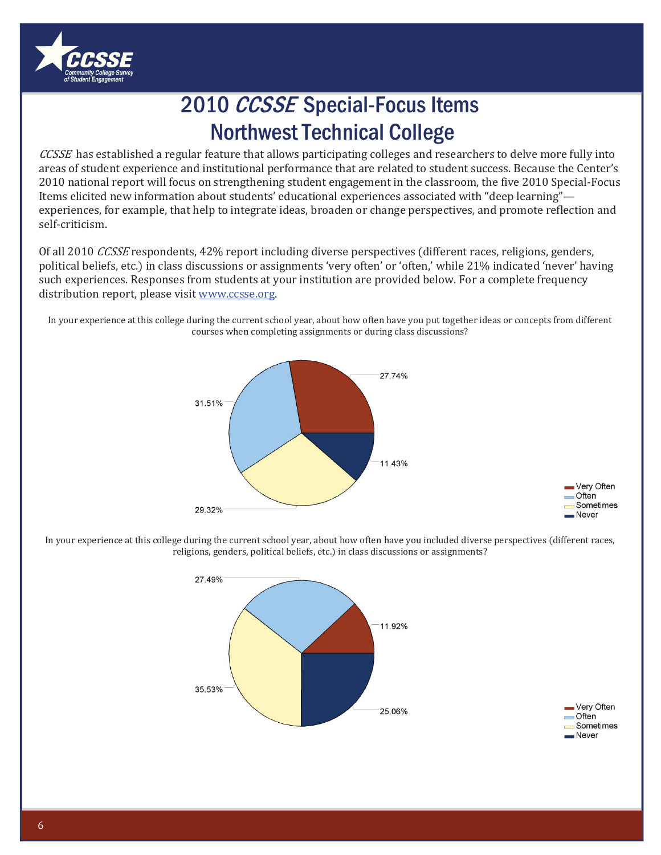

# 2010 CCSSE Special-Focus Items **Northwest Technical College**

CCSSE has established a regular feature that allows participating colleges and researchers to delve more fully into areas of student experience and institutional performance that are related to student success. Because the Center's 2010 national report will focus on strengthening student engagement in the classroom, the five 2010 Special-Focus Items elicited new information about students' educational experiences associated with "deep learning"experiences, for example, that help to integrate ideas, broaden or change perspectives, and promote reflection and self-criticism.

Of all 2010 CCSSE respondents, 42% report including diverse perspectives (different races, religions, genders, political beliefs, etc.) in class discussions or assignments 'very often' or 'often,' while 21% indicated 'never' having such experiences. Responses from students at your institution are provided below. For a complete frequency distribution report, please visit www.ccsse.org.

In your experience at this college during the current school year, about how often have you put together ideas or concepts from different courses when completing assignments or during class discussions?



In your experience at this college during the current school year, about how often have you included diverse perspectives (different races, religions, genders, political beliefs, etc.) in class discussions or assignments?



Very Often Often Sometimes

Never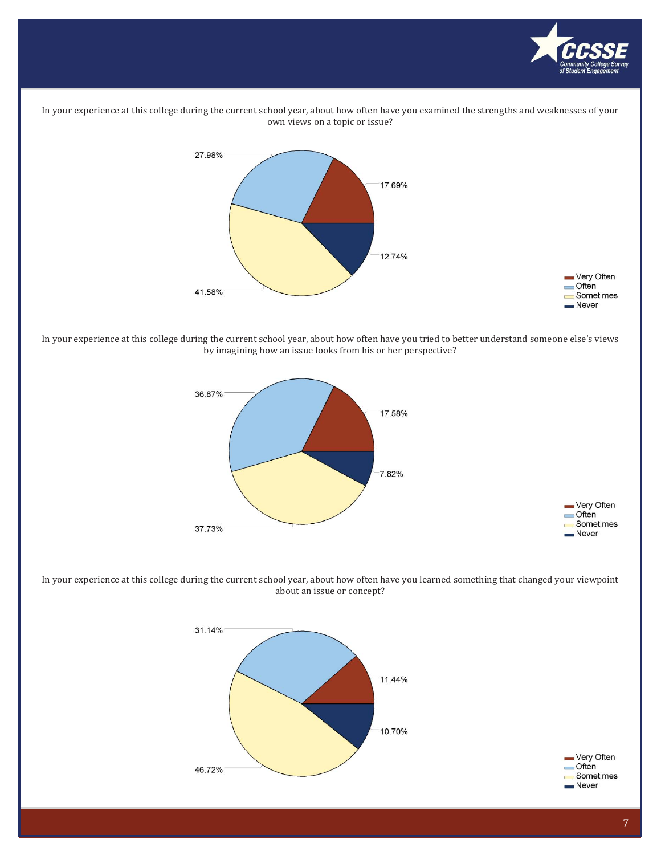

In your experience at this college during the current school year, about how often have you examined the strengths and weaknesses of your own views on a topic or issue?



In your experience at this college during the current school year, about how often have you tried to better understand someone else's views by imagining how an issue looks from his or her perspective?



In your experience at this college during the current school year, about how often have you learned something that changed your viewpoint about an issue or concept?